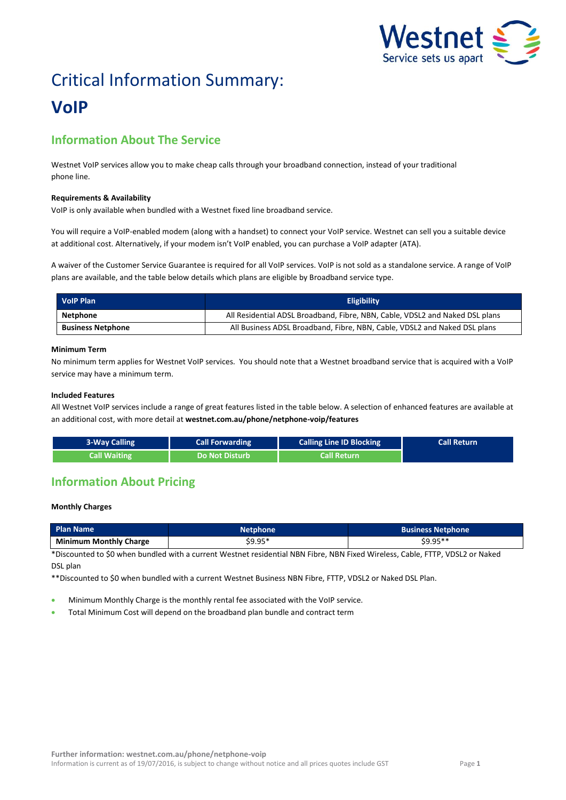

# Critical Information Summary: **VoIP**

# **Information About The Service**

Westnet VoIP services allow you to make cheap calls through your broadband connection, instead of your traditional phone line.

#### **Requirements & Availability**

VoIP is only available when bundled with a Westnet fixed line broadband service.

You will require a VoIP-enabled modem (along with a handset) to connect your VoIP service. Westnet can sell you a suitable device at additional cost. Alternatively, if your modem isn't VoIP enabled, you can purchase a VoIP adapter (ATA).

A waiver of the Customer Service Guarantee is required for all VoIP services. VoIP is not sold as a standalone service. A range of VoIP plans are available, and the table below details which plans are eligible by Broadband service type.

| <b>VolP Plan</b>         | <b>Eligibility</b>                                                           |
|--------------------------|------------------------------------------------------------------------------|
| Netphone                 | All Residential ADSL Broadband, Fibre, NBN, Cable, VDSL2 and Naked DSL plans |
| <b>Business Netphone</b> | All Business ADSL Broadband, Fibre, NBN, Cable, VDSL2 and Naked DSL plans    |

#### **Minimum Term**

No minimum term applies for Westnet VoIP services. You should note that a Westnet broadband service that is acquired with a VoIP service may have a minimum term.

#### **Included Features**

All Westnet VoIP services include a range of great features listed in the table below. A selection of enhanced features are available at an additional cost, with more detail at **[westnet.com.au/phone/netphone-voip/features](file://win2k.iinet.net.au/dfs/group/Customer%20Experience/WebDev/CORP%20TEAMS/Products/CIS%20Sheets/Word%20Templates/iiNet/www.westnet.com.au/phone/netphone-voip/features)**

| <b>3-Way Calling</b> | <b>Call Forwarding</b> | <b>Calling Line ID Blocking</b> | <b>Call Return</b> |
|----------------------|------------------------|---------------------------------|--------------------|
| <b>Call Waiting</b>  | <b>Do Not Disturb</b>  | Call Return                     |                    |

## **Information About Pricing**

#### **Monthly Charges**

| <b>Plan Name</b>              | <b>Netphone</b> | <b>Business Netphone</b> |  |  |
|-------------------------------|-----------------|--------------------------|--|--|
| <b>Minimum Monthly Charge</b> | $$9.95*$        | \$9.95**                 |  |  |

\*Discounted to \$0 when bundled with a current Westnet residential NBN Fibre, NBN Fixed Wireless, Cable, FTTP, VDSL2 or Naked DSL plan

\*\*Discounted to \$0 when bundled with a current Westnet Business NBN Fibre, FTTP, VDSL2 or Naked DSL Plan.

- Minimum Monthly Charge is the monthly rental fee associated with the VoIP service.
- Total Minimum Cost will depend on the broadband plan bundle and contract term